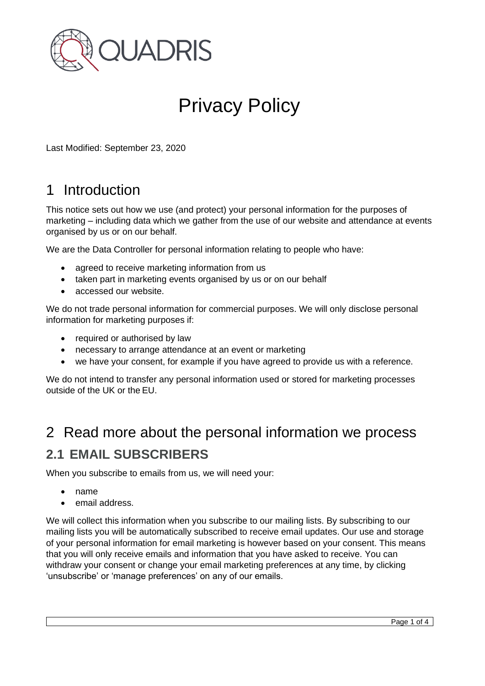

# Privacy Policy

Last Modified: September 23, 2020

## 1 Introduction

This notice sets out how we use (and protect) your personal information for the purposes of marketing – including data which we gather from the use of our website and attendance at events organised by us or on our behalf.

We are the Data Controller for personal information relating to people who have:

- agreed to receive marketing information from us
- taken part in marketing events organised by us or on our behalf
- accessed our website.

We do not trade personal information for commercial purposes. We will only disclose personal information for marketing purposes if:

- required or authorised by law
- necessary to arrange attendance at an event or marketing
- we have your consent, for example if you have agreed to provide us with a reference.

We do not intend to transfer any personal information used or stored for marketing processes outside of the UK or the EU.

## 2 Read more about the personal information we process **2.1 EMAIL SUBSCRIBERS**

When you subscribe to emails from us, we will need your:

- name
- email address.

We will collect this information when you subscribe to our mailing lists. By subscribing to our mailing lists you will be automatically subscribed to receive email updates. Our use and storage of your personal information for email marketing is however based on your consent. This means that you will only receive emails and information that you have asked to receive. You can withdraw your consent or change your email marketing preferences at any time, by clicking 'unsubscribe' or 'manage preferences' on any of our emails.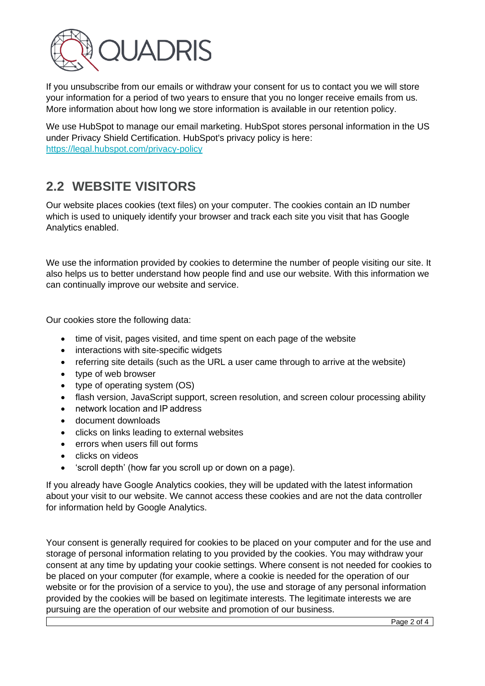

If you unsubscribe from our emails or withdraw your consent for us to contact you we will store your information for a period of two years to ensure that you no longer receive emails from us. More information about how long we store information is available in our retention policy.

We use HubSpot to manage our email marketing. HubSpot stores personal information in the US under Privacy Shield Certification. HubSpot's privacy policy is here: [https://legal.hubspot.com/privacy-policy](https://eur01.safelinks.protection.outlook.com/?url=https%3A%2F%2Flegal.hubspot.com%2Fprivacy-policy&data=04%7C01%7CNick.StClair%40quadris.co.uk%7C9b705d75fef64e49566408d97e72dac1%7Cf1d6abf3d3b44894ae16db0fb93a96a2%7C0%7C1%7C637679854066434128%7CUnknown%7CTWFpbGZsb3d8eyJWIjoiMC4wLjAwMDAiLCJQIjoiV2luMzIiLCJBTiI6Ik1haWwiLCJXVCI6Mn0%3D%7C1000&sdata=de0W%2B5lTtKE8crTCG1ZiFDqejK4EOw3jwnM8gSLEtrI%3D&reserved=0)

#### **2.2 WEBSITE VISITORS**

Our website places cookies (text files) on your computer. The cookies contain an ID number which is used to uniquely identify your browser and track each site you visit that has Google Analytics enabled.

We use the information provided by cookies to determine the number of people visiting our site. It also helps us to better understand how people find and use our website. With this information we can continually improve our website and service.

Our cookies store the following data:

- time of visit, pages visited, and time spent on each page of the website
- interactions with site-specific widgets
- referring site details (such as the URL a user came through to arrive at the website)
- type of web browser
- type of operating system (OS)
- flash version, JavaScript support, screen resolution, and screen colour processing ability
- network location and IP address
- document downloads
- clicks on links leading to external websites
- errors when users fill out forms
- clicks on videos
- 'scroll depth' (how far you scroll up or down on a page).

If you already have Google Analytics cookies, they will be updated with the latest information about your visit to our website. We cannot access these cookies and are not the data controller for information held by Google Analytics.

Your consent is generally required for cookies to be placed on your computer and for the use and storage of personal information relating to you provided by the cookies. You may withdraw your consent at any time by updating your cookie settings. Where consent is not needed for cookies to be placed on your computer (for example, where a cookie is needed for the operation of our website or for the provision of a service to you), the use and storage of any personal information provided by the cookies will be based on legitimate interests. The legitimate interests we are pursuing are the operation of our website and promotion of our business.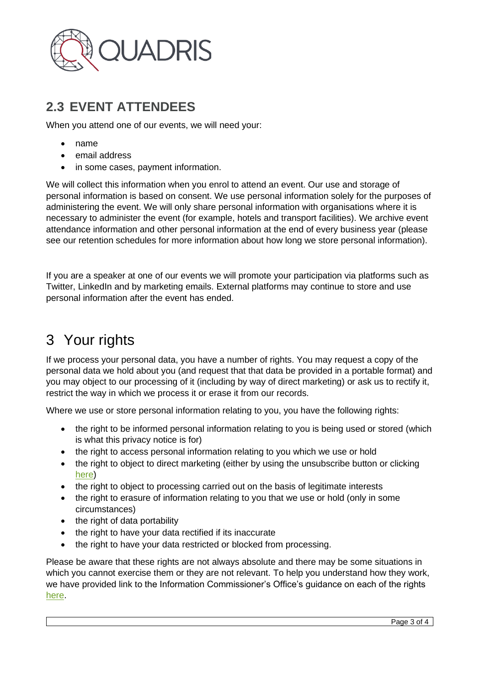

#### **2.3 EVENT ATTENDEES**

When you attend one of our events, we will need your:

- name
- email address
- in some cases, payment information.

We will collect this information when you enrol to attend an event. Our use and storage of personal information is based on consent. We use personal information solely for the purposes of administering the event. We will only share personal information with organisations where it is necessary to administer the event (for example, hotels and transport facilities). We archive event attendance information and other personal information at the end of every business year (please see our retention schedules for more information about how long we store personal information).

If you are a speaker at one of our events we will promote your participation via platforms such as Twitter, LinkedIn and by marketing emails. External platforms may continue to store and use personal information after the event has ended.

## 3 Your rights

If we process your personal data, you have a number of rights. You may request a copy of the personal data we hold about you (and request that that data be provided in a portable format) and you may object to our processing of it (including by way of direct marketing) or ask us to rectify it, restrict the way in which we process it or erase it from our records.

Where we use or store personal information relating to you, you have the following rights:

- the right to be informed personal information relating to you is being used or stored (which is what this privacy notice is for)
- the right to access personal information relating to you which we use or hold
- the right to object to direct marketing (either by using the unsubscribe button or clicking [here\)](https://hs-8417591.s.hubspotemail.net/hs/manage-preferences/unsubscribe-all-test?languagePreference=en&d=VmYj7y8gX9mnVKgD3Q3_YlyBW2m3bL73_YlyBN1JxwY5GKd_PV20N4J92t115W44SF7z4nJ9bMN6B9Fj_1VGcG1&v=3)
- the right to object to processing carried out on the basis of legitimate interests
- the right to erasure of information relating to you that we use or hold (only in some circumstances)
- the right of data portability
- the right to have your data rectified if its inaccurate
- the right to have your data restricted or blocked from processing.

Please be aware that these rights are not always absolute and there may be some situations in which you cannot exercise them or they are not relevant. To help you understand how they work, we have provided link to the Information Commissioner's Office's guidance on each of the rights [here.](https://ico.org.uk/)